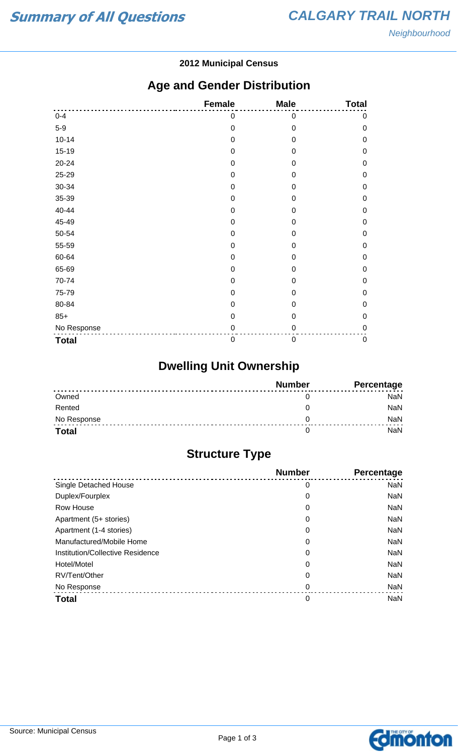#### **2012 Municipal Census**

### **Age and Gender Distribution**

|              | <b>Female</b>    | <b>Male</b>      | <b>Total</b> |
|--------------|------------------|------------------|--------------|
| $0 - 4$      | 0                | $\mathbf 0$      | $\pmb{0}$    |
| $5-9$        | $\mathbf 0$      | $\mathbf 0$      | $\mathbf 0$  |
| $10 - 14$    | $\mathbf 0$      | $\mathbf 0$      | $\mathbf 0$  |
| $15-19$      | 0                | 0                | $\mathbf 0$  |
| 20-24        | $\mathbf 0$      | 0                | $\mathbf 0$  |
| 25-29        | $\mathbf 0$      | $\mathbf 0$      | $\mathbf 0$  |
| 30-34        | $\mathbf 0$      | $\overline{0}$   | $\mathbf 0$  |
| 35-39        | $\mathbf 0$      | 0                | $\mathbf 0$  |
| 40-44        | $\mathbf 0$      | 0                | $\mathbf 0$  |
| 45-49        | $\mathbf 0$      | 0                | $\mathbf 0$  |
| 50-54        | $\mathbf 0$      | $\mathbf 0$      | $\mathbf 0$  |
| 55-59        | $\mathbf 0$      | $\mathbf 0$      | $\mathbf 0$  |
| 60-64        | 0                | 0                | $\mathbf 0$  |
| 65-69        | $\mathbf 0$      | 0                | $\mathbf 0$  |
| 70-74        | $\mathbf 0$      | $\mathbf 0$      | $\mathbf 0$  |
| 75-79        | $\mathbf 0$      | $\overline{0}$   | $\mathbf 0$  |
| 80-84        | 0                | 0                | $\mathbf 0$  |
| $85+$        | $\mathbf 0$      | $\mathbf 0$      | $\mathbf 0$  |
| No Response  | $\mathbf 0$      | 0                | $\mathbf 0$  |
| <b>Total</b> | $\boldsymbol{0}$ | $\boldsymbol{0}$ | $\pmb{0}$    |

# **Dwelling Unit Ownership**

|              | <b>Number</b> | Percentage |
|--------------|---------------|------------|
| Owned        |               | NaN        |
| Rented       |               | <b>NaN</b> |
| No Response  |               | <b>NaN</b> |
| <b>Total</b> |               | NaN        |

# **Structure Type**

|                                  | <b>Number</b> | <b>Percentage</b> |
|----------------------------------|---------------|-------------------|
| Single Detached House            | 0             | <b>NaN</b>        |
| Duplex/Fourplex                  | 0             | <b>NaN</b>        |
| Row House                        | 0             | <b>NaN</b>        |
| Apartment (5+ stories)           | 0             | <b>NaN</b>        |
| Apartment (1-4 stories)          | 0             | <b>NaN</b>        |
| Manufactured/Mobile Home         | 0             | <b>NaN</b>        |
| Institution/Collective Residence | 0             | <b>NaN</b>        |
| Hotel/Motel                      | 0             | <b>NaN</b>        |
| RV/Tent/Other                    | 0             | <b>NaN</b>        |
| No Response                      | 0             | <b>NaN</b>        |
| <b>Total</b>                     | 0             | <b>NaN</b>        |

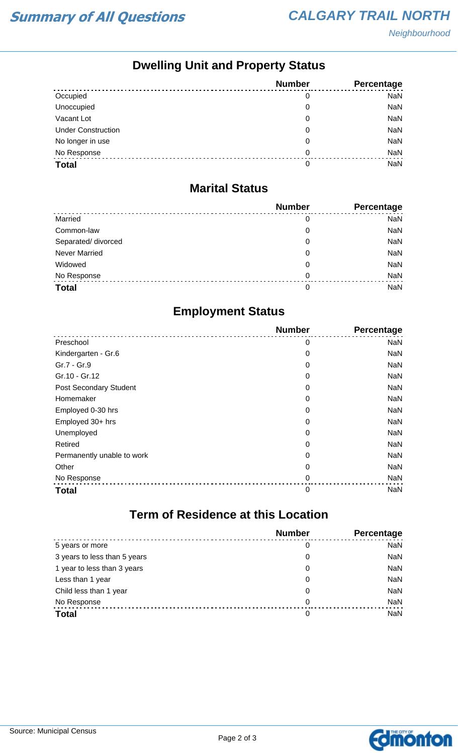# **Dwelling Unit and Property Status**

|                           | <b>Number</b> | <b>Percentage</b> |
|---------------------------|---------------|-------------------|
| Occupied                  | 0             | <b>NaN</b>        |
| Unoccupied                | 0             | <b>NaN</b>        |
| Vacant Lot                | 0             | NaN               |
| <b>Under Construction</b> | 0             | <b>NaN</b>        |
| No longer in use          | 0             | NaN               |
| No Response               | 0             | <b>NaN</b>        |
| <b>Total</b>              | 0             | <b>NaN</b>        |

#### **Marital Status**

|                      | <b>Number</b> | Percentage |
|----------------------|---------------|------------|
| Married              | 0             | <b>NaN</b> |
| Common-law           | 0             | <b>NaN</b> |
| Separated/ divorced  | 0             | <b>NaN</b> |
| <b>Never Married</b> | 0             | <b>NaN</b> |
| Widowed              | 0             | <b>NaN</b> |
| No Response          | $\Omega$      | <b>NaN</b> |
| <b>Total</b>         | 0             | <b>NaN</b> |

#### **Employment Status**

|                               | <b>Number</b> | Percentage |
|-------------------------------|---------------|------------|
| Preschool                     | 0             | <b>NaN</b> |
| Kindergarten - Gr.6           | 0             | NaN        |
| Gr.7 - Gr.9                   | 0             | NaN        |
| Gr.10 - Gr.12                 | 0             | NaN        |
| <b>Post Secondary Student</b> | 0             | <b>NaN</b> |
| Homemaker                     | 0             | NaN        |
| Employed 0-30 hrs             | 0             | <b>NaN</b> |
| Employed 30+ hrs              | 0             | NaN        |
| Unemployed                    | 0             | NaN        |
| Retired                       | 0             | NaN        |
| Permanently unable to work    | 0             | <b>NaN</b> |
| Other                         | 0             | NaN        |
| No Response                   | 0             | <b>NaN</b> |
| <b>Total</b>                  | 0             | <b>NaN</b> |

#### **Term of Residence at this Location**

|                              | <b>Number</b> | Percentage |
|------------------------------|---------------|------------|
| 5 years or more              | 0             | <b>NaN</b> |
| 3 years to less than 5 years | 0             | <b>NaN</b> |
| 1 year to less than 3 years  | 0             | <b>NaN</b> |
| Less than 1 year             | 0             | <b>NaN</b> |
| Child less than 1 year       | 0             | <b>NaN</b> |
| No Response                  | 0             | <b>NaN</b> |
| <b>Total</b>                 | 0             | <b>NaN</b> |